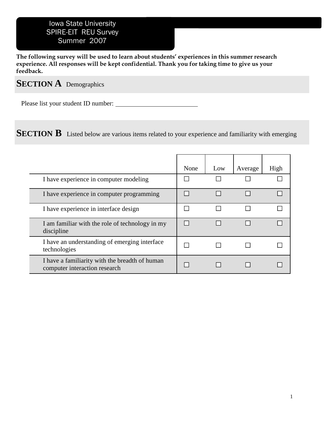## Iowa State University SPIRE-EIT REU Survey Summer 2007

**The following survey will be used to learn about students' experiences in this summer research experience. All responses will be kept confidential. Thank you for taking time to give us your feedback.** 

## **SECTION A** Demographics

Please list your student ID number:

**SECTION B** Listed below are various items related to your experience and familiarity with emerging

|                                                                                 | None | Low | Average | High |
|---------------------------------------------------------------------------------|------|-----|---------|------|
| I have experience in computer modeling                                          |      |     |         |      |
| I have experience in computer programming                                       |      |     |         |      |
| I have experience in interface design                                           |      |     |         |      |
| I am familiar with the role of technology in my<br>discipline                   |      |     |         |      |
| I have an understanding of emerging interface<br>technologies                   |      |     |         |      |
| I have a familiarity with the breadth of human<br>computer interaction research |      |     |         |      |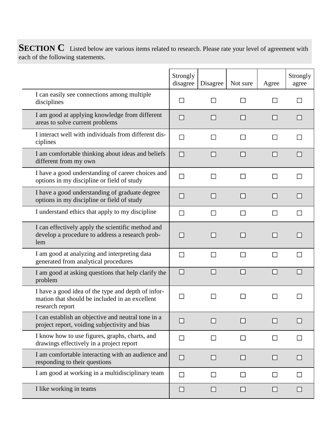**SECTION C** Listed below are various items related to research. Please rate your level of agreement with each of the following statements.

|                                                                                                                         | Strongly<br>disagree | Disagree | Not sure | Agree | Strongly<br>agree |
|-------------------------------------------------------------------------------------------------------------------------|----------------------|----------|----------|-------|-------------------|
| I can easily see connections among multiple<br>disciplines                                                              |                      |          |          |       |                   |
| I am good at applying knowledge from different<br>areas to solve current problems                                       |                      |          |          |       |                   |
| I interact well with individuals from different dis-<br>ciplines                                                        |                      |          |          |       |                   |
| I am comfortable thinking about ideas and beliefs<br>different from my own                                              |                      |          |          |       |                   |
| I have a good understanding of career choices and<br>options in my discipline or field of study                         |                      |          |          |       |                   |
| I have a good understanding of graduate degree<br>options in my discipline or field of study                            |                      |          |          |       |                   |
| I understand ethics that apply to my discipline                                                                         |                      |          |          |       |                   |
| I can effectively apply the scientific method and<br>develop a procedure to address a research prob-<br>lem             |                      |          |          |       |                   |
| I am good at analyzing and interpreting data<br>generated from analytical procedures                                    |                      |          |          |       |                   |
| I am good at asking questions that help clarify the<br>problem                                                          |                      |          |          |       |                   |
| I have a good idea of the type and depth of infor-<br>mation that should be included in an excellent<br>research report |                      |          |          |       |                   |
| I can establish an objective and neutral tone in a<br>project report, voiding subjectivity and bias                     |                      |          |          |       |                   |
| I know how to use figures, graphs, charts, and<br>drawings effectively in a project report                              | $\mathbf{I}$         |          |          |       |                   |
| I am comfortable interacting with an audience and<br>responding to their questions                                      |                      |          |          |       |                   |
| I am good at working in a multidisciplinary team                                                                        |                      |          |          | l 1   |                   |
| I like working in teams                                                                                                 |                      |          |          |       |                   |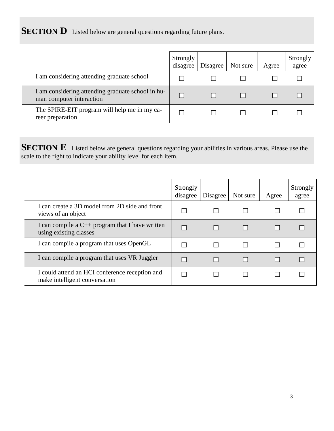**SECTION D** Listed below are general questions regarding future plans.

|                                                                               | Strongly<br>disagree | Disagree | Not sure | Agree | Strongly<br>agree |
|-------------------------------------------------------------------------------|----------------------|----------|----------|-------|-------------------|
| I am considering attending graduate school                                    |                      |          |          |       |                   |
| I am considering attending graduate school in hu-<br>man computer interaction |                      |          |          |       |                   |
| The SPIRE-EIT program will help me in my ca-<br>reer preparation              |                      |          |          |       |                   |

**SECTION E** Listed below are general questions regarding your abilities in various areas. Please use the scale to the right to indicate your ability level for each item.

|                                                                                 | Strongly<br>disagree | Disagree | Not sure | Agree | Strongly<br>agree |
|---------------------------------------------------------------------------------|----------------------|----------|----------|-------|-------------------|
| I can create a 3D model from 2D side and front<br>views of an object            |                      |          |          |       |                   |
| I can compile a $C_{++}$ program that I have written<br>using existing classes  |                      |          |          |       |                   |
| I can compile a program that uses OpenGL                                        |                      |          |          |       |                   |
| I can compile a program that uses VR Juggler                                    |                      |          |          |       |                   |
| I could attend an HCI conference reception and<br>make intelligent conversation |                      |          |          |       |                   |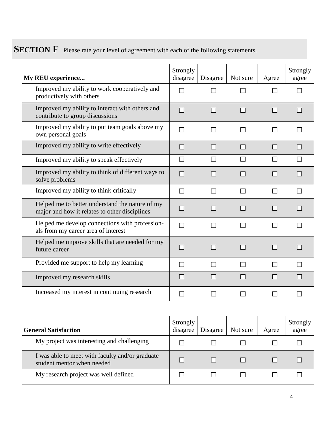**SECTION F** Please rate your level of agreement with each of the following statements.

| My REU experience                                                                                | Strongly<br>disagree | Disagree                 | Not sure     | Agree          | Strongly<br>agree |
|--------------------------------------------------------------------------------------------------|----------------------|--------------------------|--------------|----------------|-------------------|
| Improved my ability to work cooperatively and<br>productively with others                        |                      |                          |              |                |                   |
| Improved my ability to interact with others and<br>contribute to group discussions               | $\Box$               | П                        | П            | П              | $\Box$            |
| Improved my ability to put team goals above my<br>own personal goals                             |                      | $\overline{\phantom{a}}$ |              | $\mathbb{R}^n$ |                   |
| Improved my ability to write effectively                                                         | $\Box$               | $\Box$                   | $\mathsf{L}$ | $\mathsf{L}$   | $\mathbf{L}$      |
| Improved my ability to speak effectively                                                         | $\mathbf{L}$         |                          |              | $\mathbf{I}$   |                   |
| Improved my ability to think of different ways to<br>solve problems                              | $\Box$               | П                        |              | $\Box$         |                   |
| Improved my ability to think critically                                                          | $\Box$               | $\Box$                   | l 1          | ΙI             |                   |
| Helped me to better understand the nature of my<br>major and how it relates to other disciplines | $\Box$               | $\Box$                   | ΙI           | $\mathsf{L}$   |                   |
| Helped me develop connections with profession-<br>als from my career area of interest            |                      | $\Box$                   |              |                |                   |
| Helped me improve skills that are needed for my<br>future career                                 | $\sim$               | $\blacksquare$           | ΙI           | $\mathsf{L}$   |                   |
| Provided me support to help my learning                                                          | $\mathbf{I}$         |                          |              |                |                   |
| Improved my research skills                                                                      | $\mathbb{R}^n$       |                          |              |                |                   |
| Increased my interest in continuing research                                                     |                      | $\sim$                   |              |                |                   |

| <b>General Satisfaction</b>                                                   | Strongly<br>disagree | Disagree | Not sure | Agree | Strongly<br>agree |
|-------------------------------------------------------------------------------|----------------------|----------|----------|-------|-------------------|
| My project was interesting and challenging                                    |                      |          |          |       |                   |
| I was able to meet with faculty and/or graduate<br>student mentor when needed |                      |          |          |       |                   |
| My research project was well defined                                          |                      |          |          |       |                   |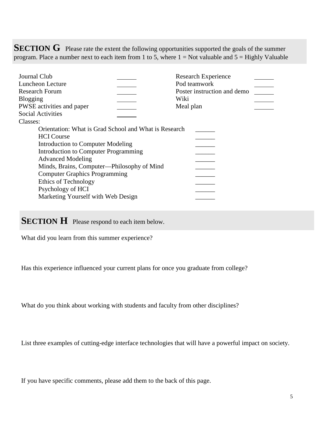**SECTION G** Please rate the extent the following opportunities supported the goals of the summer program. Place a number next to each item from 1 to 5, where  $1 = Not$  valuable and  $5 = Highly$  Valuable

| Journal Club<br>Luncheon Lecture<br><b>Research Forum</b><br><b>Blogging</b>                                                                                                                                                                                                                                                                                 | <b>Research Experience</b><br>Pod teamwork<br>Poster instruction and demo<br>Wiki |
|--------------------------------------------------------------------------------------------------------------------------------------------------------------------------------------------------------------------------------------------------------------------------------------------------------------------------------------------------------------|-----------------------------------------------------------------------------------|
| PWSE activities and paper                                                                                                                                                                                                                                                                                                                                    | Meal plan                                                                         |
| <b>Social Activities</b><br>Classes:                                                                                                                                                                                                                                                                                                                         |                                                                                   |
| Orientation: What is Grad School and What is Research<br><b>HCI</b> Course<br>Introduction to Computer Modeling<br>Introduction to Computer Programming<br><b>Advanced Modeling</b><br>Minds, Brains, Computer—Philosophy of Mind<br><b>Computer Graphics Programming</b><br>Ethics of Technology<br>Psychology of HCI<br>Marketing Yourself with Web Design |                                                                                   |

## **SECTION H** Please respond to each item below.

What did you learn from this summer experience?

Has this experience influenced your current plans for once you graduate from college?

What do you think about working with students and faculty from other disciplines?

List three examples of cutting-edge interface technologies that will have a powerful impact on society.

If you have specific comments, please add them to the back of this page.